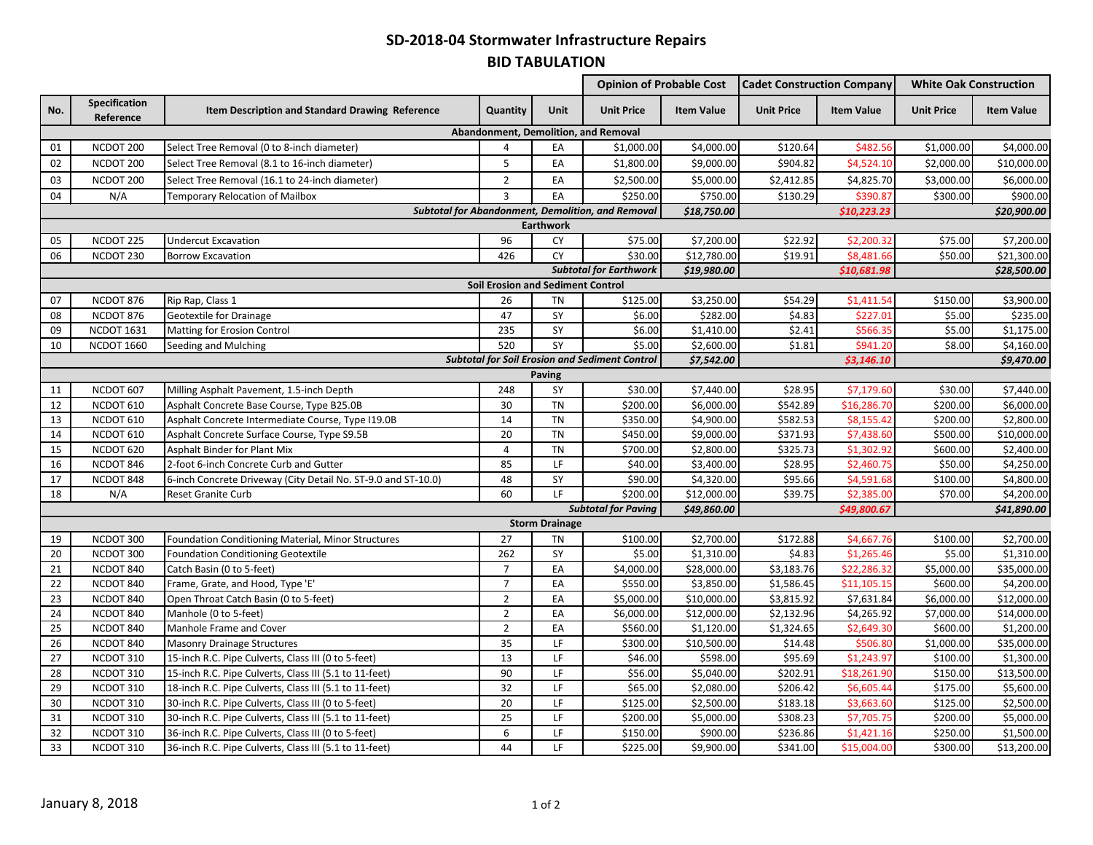## **SD-2018-04 Stormwater Infrastructure Repairs BID TABULATION**

|                                      |                                          |                                                               |                 |                            | <b>Opinion of Probable Cost</b>                       |                   | <b>Cadet Construction Company</b> |                   | <b>White Oak Construction</b> |                   |  |
|--------------------------------------|------------------------------------------|---------------------------------------------------------------|-----------------|----------------------------|-------------------------------------------------------|-------------------|-----------------------------------|-------------------|-------------------------------|-------------------|--|
| No.                                  | Specification<br>Reference               | Item Description and Standard Drawing Reference               | Quantity        | Unit                       | <b>Unit Price</b>                                     | <b>Item Value</b> | <b>Unit Price</b>                 | <b>Item Value</b> | <b>Unit Price</b>             | <b>Item Value</b> |  |
| Abandonment, Demolition, and Removal |                                          |                                                               |                 |                            |                                                       |                   |                                   |                   |                               |                   |  |
| 01                                   | NCDOT 200                                | Select Tree Removal (0 to 8-inch diameter)                    | $\overline{a}$  | EA                         | \$1,000.00                                            | \$4,000.00        | \$120.64                          | \$482.56          | \$1,000.00                    | \$4,000.00        |  |
| 02                                   | NCDOT 200                                | Select Tree Removal (8.1 to 16-inch diameter)                 | 5               | EA                         | \$1,800.00                                            | \$9,000.00        | \$904.82                          | \$4,524.10        | \$2,000.00                    | \$10,000.00       |  |
| 03                                   | NCDOT 200                                | Select Tree Removal (16.1 to 24-inch diameter)                | $\overline{2}$  | EA                         | \$2,500.00                                            | \$5,000.00        | \$2,412.85                        | \$4,825.70        | \$3,000.00                    | \$6,000.00        |  |
| 04                                   | N/A                                      | Temporary Relocation of Mailbox                               | 3               | EA                         | \$250.00                                              | \$750.00          | \$130.29                          | \$390.87          | \$300.00                      | \$900.00          |  |
|                                      |                                          |                                                               |                 |                            | Subtotal for Abandonment, Demolition, and Removal     | \$18,750.00       |                                   | \$10,223.23       |                               | \$20,900.00       |  |
|                                      | <b>Earthwork</b>                         |                                                               |                 |                            |                                                       |                   |                                   |                   |                               |                   |  |
| 05                                   | NCDOT 225                                | <b>Undercut Excavation</b>                                    | 96              | CY                         | \$75.00                                               | \$7,200.00        | \$22.92                           | \$2,200.32        | \$75.00                       | \$7,200.00        |  |
| 06                                   | NCDOT 230                                | <b>Borrow Excavation</b>                                      | 426             | <b>CY</b>                  | \$30.00                                               | \$12,780.00       | \$19.91                           | \$8,481.66        | \$50.00                       | \$21,300.00       |  |
|                                      |                                          |                                                               |                 |                            | <b>Subtotal for Earthwork</b>                         | \$19,980.00       |                                   | \$10,681.98       |                               | \$28,500.00       |  |
|                                      | <b>Soil Erosion and Sediment Control</b> |                                                               |                 |                            |                                                       |                   |                                   |                   |                               |                   |  |
| 07                                   | NCDOT 876                                | Rip Rap, Class 1                                              | 26              | TN                         | \$125.00                                              | \$3,250.00        | \$54.29                           | \$1,411.54        | \$150.00                      | \$3,900.00        |  |
| 08                                   | NCDOT 876                                | Geotextile for Drainage                                       | 47              | SY                         | \$6.00                                                | \$282.00          | \$4.83                            | \$227.01          | \$5.00                        | \$235.00          |  |
| 09                                   | <b>NCDOT 1631</b>                        | Matting for Erosion Control                                   | 235             | SY                         | \$6.00                                                | \$1,410.00        | \$2.41                            | \$566.35          | \$5.00                        | \$1,175.00        |  |
| 10                                   | <b>NCDOT 1660</b>                        | Seeding and Mulching                                          | 520             | SY                         | \$5.00                                                | \$2,600.00        | \$1.81                            | \$941.20          | \$8.00                        | \$4,160.00        |  |
|                                      |                                          |                                                               |                 |                            | <b>Subtotal for Soil Erosion and Sediment Control</b> | \$7,542.00        |                                   | \$3,146.10        |                               | \$9,470.00        |  |
|                                      |                                          |                                                               |                 | <b>Paving</b>              |                                                       |                   |                                   |                   |                               |                   |  |
| 11                                   | NCDOT 607                                | Milling Asphalt Pavement, 1.5-inch Depth                      | 248             | SY                         | \$30.00                                               | \$7,440.00        | \$28.95                           | \$7,179.60        | \$30.00                       | \$7,440.00        |  |
| 12                                   | NCDOT 610                                | Asphalt Concrete Base Course, Type B25.0B                     | 30              | <b>TN</b>                  | \$200.00                                              | \$6,000.00        | \$542.89                          | \$16,286.70       | \$200.00                      | \$6,000.00        |  |
| 13                                   | NCDOT 610                                | Asphalt Concrete Intermediate Course, Type I19.0B             | 14              | <b>TN</b>                  | \$350.00                                              | \$4,900.00        | \$582.53                          | \$8,155.42        | \$200.00                      | \$2,800.00        |  |
| 14                                   | NCDOT 610                                | Asphalt Concrete Surface Course, Type S9.5B                   | $\overline{20}$ | <b>TN</b>                  | \$450.00                                              | \$9,000.00        | \$371.93                          | \$7,438.60        | \$500.00                      | \$10,000.00       |  |
| 15                                   | NCDOT 620                                | Asphalt Binder for Plant Mix                                  | 4               | <b>TN</b>                  | \$700.00                                              | \$2,800.00        | \$325.73                          | \$1,302.92        | \$600.00                      | \$2,400.00        |  |
| 16                                   | NCDOT 846                                | 2-foot 6-inch Concrete Curb and Gutter                        | 85              | LF                         | \$40.00                                               | \$3,400.00        | \$28.95                           | \$2,460.75        | \$50.00                       | \$4,250.00        |  |
| 17                                   | NCDOT 848                                | 6-inch Concrete Driveway (City Detail No. ST-9.0 and ST-10.0) | 48              | SY                         | \$90.00                                               | \$4,320.00        | \$95.66                           | \$4,591.68        | \$100.00                      | \$4,800.00        |  |
| 18                                   | N/A                                      | Reset Granite Curb                                            | 60              | LF.                        | \$200.00                                              | \$12,000.00       | \$39.75                           | \$2,385.00        | \$70.00                       | \$4,200.00        |  |
|                                      |                                          |                                                               |                 | <b>Subtotal for Paving</b> |                                                       | \$49,860.00       | \$49,800.67                       |                   | \$41,890.00                   |                   |  |
|                                      |                                          |                                                               |                 | <b>Storm Drainage</b>      |                                                       |                   |                                   |                   |                               |                   |  |
| 19                                   | NCDOT 300                                | Foundation Conditioning Material, Minor Structures            | 27              | <b>TN</b>                  | \$100.00                                              | \$2,700.00        | \$172.88                          | \$4,667.76        | \$100.00                      | \$2,700.00        |  |
| 20                                   | NCDOT 300                                | <b>Foundation Conditioning Geotextile</b>                     | 262             | SY                         | \$5.00                                                | \$1,310.00        | \$4.83                            | \$1,265.46        | \$5.00                        | \$1,310.00        |  |
| 21                                   | NCDOT 840                                | Catch Basin (0 to 5-feet)                                     | $\overline{7}$  | EA                         | \$4,000.00                                            | \$28,000.00       | \$3,183.76                        | \$22,286.32       | \$5,000.00                    | \$35,000.00       |  |
| 22                                   | NCDOT 840                                | Frame, Grate, and Hood, Type 'E'                              | $\overline{7}$  | EA                         | \$550.00                                              | \$3,850.00        | \$1,586.45                        | \$11,105.1        | \$600.00                      | \$4,200.00        |  |
| 23                                   | NCDOT 840                                | Open Throat Catch Basin (0 to 5-feet)                         | $\overline{2}$  | EA                         | \$5,000.00                                            | \$10,000.00       | \$3,815.92                        | \$7,631.84        | \$6,000.00                    | \$12,000.00       |  |
| 24                                   | NCDOT 840                                | Manhole (0 to 5-feet)                                         | $\overline{2}$  | EA                         | \$6,000.00                                            | \$12,000.00       | \$2,132.96                        | \$4,265.92        | \$7,000.00                    | \$14,000.00       |  |
| 25                                   | NCDOT 840                                | Manhole Frame and Cover                                       | $\overline{2}$  | EA                         | \$560.00                                              | \$1,120.00        | \$1,324.65                        | \$2,649.30        | \$600.00                      | \$1,200.00        |  |
| 26                                   | NCDOT 840                                | <b>Masonry Drainage Structures</b>                            | 35              | LF                         | \$300.00                                              | \$10,500.00       | \$14.48                           | \$506.80          | \$1,000.00                    | \$35,000.00       |  |
| 27                                   | NCDOT 310                                | 15-inch R.C. Pipe Culverts, Class III (0 to 5-feet)           | 13              | LF                         | \$46.00                                               | \$598.00          | \$95.69                           | \$1,243.97        | \$100.00                      | \$1,300.00        |  |
| 28                                   | NCDOT 310                                | 15-inch R.C. Pipe Culverts, Class III (5.1 to 11-feet)        | 90              | LF                         | \$56.00                                               | \$5,040.00        | \$202.91                          | \$18,261.90       | \$150.00                      | \$13,500.00       |  |
| 29                                   | NCDOT 310                                | 18-inch R.C. Pipe Culverts, Class III (5.1 to 11-feet)        | 32              | LF                         | \$65.00                                               | \$2,080.00        | \$206.42                          | \$6,605.44        | \$175.00                      | \$5,600.00        |  |
| 30                                   | NCDOT 310                                | 30-inch R.C. Pipe Culverts, Class III (0 to 5-feet)           | 20              | LF                         | \$125.00                                              | \$2,500.00        | \$183.18                          | \$3,663.60        | \$125.00                      | \$2,500.00        |  |
| 31                                   | NCDOT 310                                | 30-inch R.C. Pipe Culverts, Class III (5.1 to 11-feet)        | $\overline{25}$ | LF                         | \$200.00                                              | \$5,000.00        | \$308.23                          | \$7,705.75        | \$200.00                      | \$5,000.00        |  |
| 32                                   | NCDOT 310                                | 36-inch R.C. Pipe Culverts, Class III (0 to 5-feet)           | 6               | LF                         | \$150.00                                              | \$900.00          | \$236.86                          | \$1,421.16        | \$250.00                      | \$1,500.00        |  |
| 33                                   | NCDOT 310                                | 36-inch R.C. Pipe Culverts, Class III (5.1 to 11-feet)        | 44              | LF                         | \$225.00                                              | \$9,900.00        | \$341.00                          | \$15,004.00       | \$300.00                      | \$13,200.00       |  |